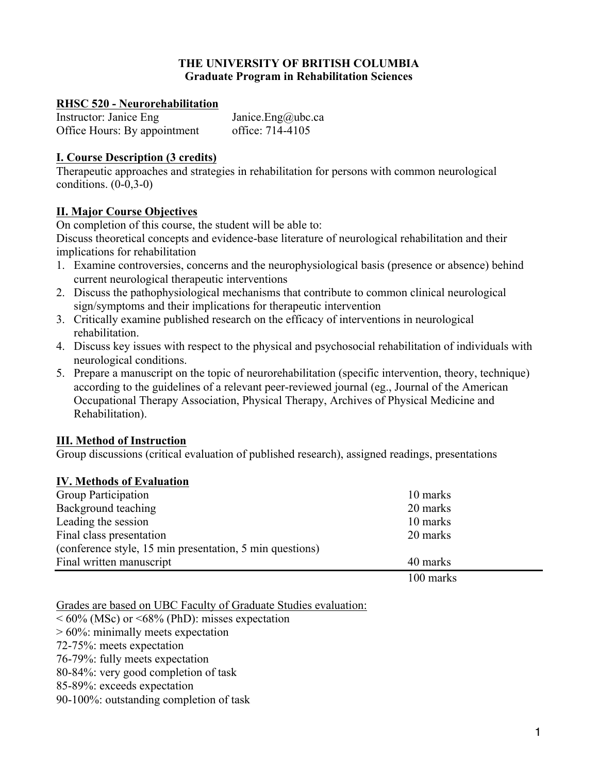## **THE UNIVERSITY OF BRITISH COLUMBIA Graduate Program in Rehabilitation Sciences**

## **RHSC 520 - Neurorehabilitation**

Instructor: Janice Eng Janice.Eng Qubc.ca Office Hours: By appointment office: 714-4105

## **I. Course Description (3 credits)**

Therapeutic approaches and strategies in rehabilitation for persons with common neurological conditions.  $(0-0,3-0)$ 

## **II. Major Course Objectives**

On completion of this course, the student will be able to:

Discuss theoretical concepts and evidence-base literature of neurological rehabilitation and their implications for rehabilitation

- 1. Examine controversies, concerns and the neurophysiological basis (presence or absence) behind current neurological therapeutic interventions
- 2. Discuss the pathophysiological mechanisms that contribute to common clinical neurological sign/symptoms and their implications for therapeutic intervention
- 3. Critically examine published research on the efficacy of interventions in neurological rehabilitation.
- 4. Discuss key issues with respect to the physical and psychosocial rehabilitation of individuals with neurological conditions.
- 5. Prepare a manuscript on the topic of neurorehabilitation (specific intervention, theory, technique) according to the guidelines of a relevant peer-reviewed journal (eg., Journal of the American Occupational Therapy Association, Physical Therapy, Archives of Physical Medicine and Rehabilitation).

## **III. Method of Instruction**

Group discussions (critical evaluation of published research), assigned readings, presentations

## **IV. Methods of Evaluation**

| Group Participation                                      | 10 marks    |  |
|----------------------------------------------------------|-------------|--|
| Background teaching                                      | 20 marks    |  |
| Leading the session                                      | 10 marks    |  |
| Final class presentation                                 | 20 marks    |  |
| (conference style, 15 min presentation, 5 min questions) |             |  |
| Final written manuscript                                 | 40 marks    |  |
|                                                          | $100$ marks |  |

100 marks

Grades are based on UBC Faculty of Graduate Studies evaluation:

 $< 60\%$  (MSc) or  $< 68\%$  (PhD): misses expectation

> 60%: minimally meets expectation

72-75%: meets expectation

76-79%: fully meets expectation

80-84%: very good completion of task

85-89%: exceeds expectation

90-100%: outstanding completion of task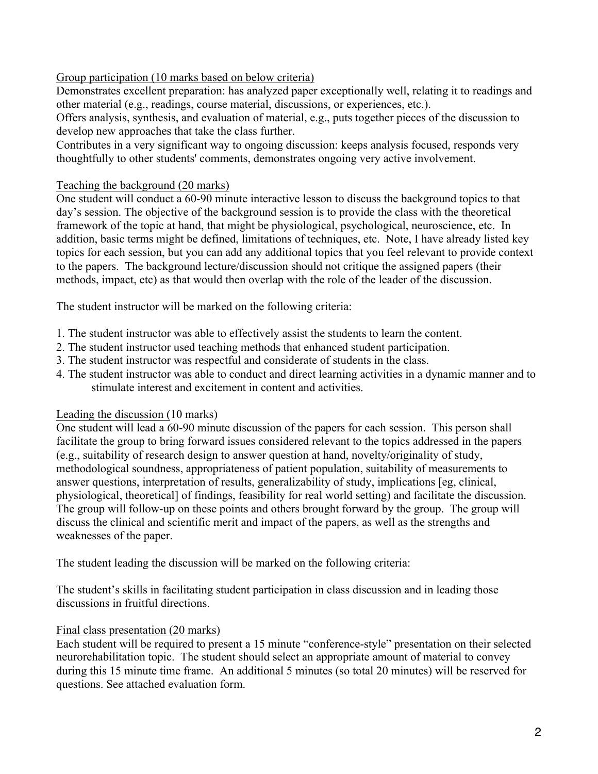# Group participation (10 marks based on below criteria)

Demonstrates excellent preparation: has analyzed paper exceptionally well, relating it to readings and other material (e.g., readings, course material, discussions, or experiences, etc.).

Offers analysis, synthesis, and evaluation of material, e.g., puts together pieces of the discussion to develop new approaches that take the class further.

Contributes in a very significant way to ongoing discussion: keeps analysis focused, responds very thoughtfully to other students' comments, demonstrates ongoing very active involvement.

# Teaching the background (20 marks)

One student will conduct a 60-90 minute interactive lesson to discuss the background topics to that day's session. The objective of the background session is to provide the class with the theoretical framework of the topic at hand, that might be physiological, psychological, neuroscience, etc. In addition, basic terms might be defined, limitations of techniques, etc. Note, I have already listed key topics for each session, but you can add any additional topics that you feel relevant to provide context to the papers. The background lecture/discussion should not critique the assigned papers (their methods, impact, etc) as that would then overlap with the role of the leader of the discussion.

The student instructor will be marked on the following criteria:

- 1. The student instructor was able to effectively assist the students to learn the content.
- 2. The student instructor used teaching methods that enhanced student participation.
- 3. The student instructor was respectful and considerate of students in the class.
- 4. The student instructor was able to conduct and direct learning activities in a dynamic manner and to stimulate interest and excitement in content and activities.

## Leading the discussion (10 marks)

One student will lead a 60-90 minute discussion of the papers for each session. This person shall facilitate the group to bring forward issues considered relevant to the topics addressed in the papers (e.g., suitability of research design to answer question at hand, novelty/originality of study, methodological soundness, appropriateness of patient population, suitability of measurements to answer questions, interpretation of results, generalizability of study, implications [eg, clinical, physiological, theoretical] of findings, feasibility for real world setting) and facilitate the discussion. The group will follow-up on these points and others brought forward by the group. The group will discuss the clinical and scientific merit and impact of the papers, as well as the strengths and weaknesses of the paper.

The student leading the discussion will be marked on the following criteria:

The student's skills in facilitating student participation in class discussion and in leading those discussions in fruitful directions.

# Final class presentation (20 marks)

Each student will be required to present a 15 minute "conference-style" presentation on their selected neurorehabilitation topic. The student should select an appropriate amount of material to convey during this 15 minute time frame. An additional 5 minutes (so total 20 minutes) will be reserved for questions. See attached evaluation form.